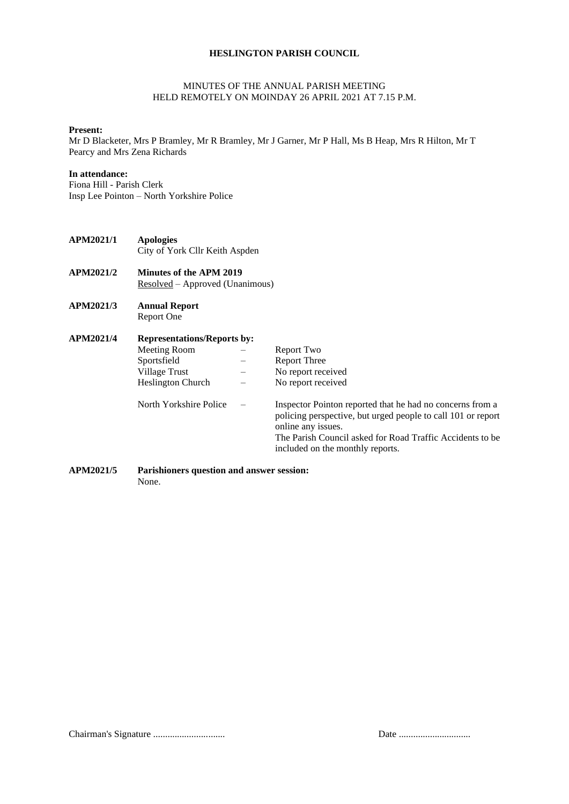# **HESLINGTON PARISH COUNCIL**

## MINUTES OF THE ANNUAL PARISH MEETING HELD REMOTELY ON MOINDAY 26 APRIL 2021 AT 7.15 P.M.

#### **Present:**

Mr D Blacketer, Mrs P Bramley, Mr R Bramley, Mr J Garner, Mr P Hall, Ms B Heap, Mrs R Hilton, Mr T Pearcy and Mrs Zena Richards

## **In attendance:**

Fiona Hill - Parish Clerk Insp Lee Pointon – North Yorkshire Police

- **APM2021/1 Apologies** City of York Cllr Keith Aspden
- **APM2021/2 Minutes of the APM 2019** Resolved – Approved (Unanimous)
- **APM2021/3 Annual Report**  Report One

| APM2021/4 | <b>Representations/Reports by:</b> |  |                                                                                                                                                                                                                                                  |  |
|-----------|------------------------------------|--|--------------------------------------------------------------------------------------------------------------------------------------------------------------------------------------------------------------------------------------------------|--|
|           | Meeting Room                       |  | Report Two                                                                                                                                                                                                                                       |  |
|           | Sportsfield                        |  | <b>Report Three</b>                                                                                                                                                                                                                              |  |
|           | Village Trust                      |  | No report received                                                                                                                                                                                                                               |  |
|           | <b>Heslington Church</b>           |  | No report received                                                                                                                                                                                                                               |  |
|           | North Yorkshire Police             |  | Inspector Pointon reported that he had no concerns from a<br>policing perspective, but urged people to call 101 or report<br>online any issues.<br>The Parish Council asked for Road Traffic Accidents to be<br>included on the monthly reports. |  |

## **APM2021/5 Parishioners question and answer session:** None.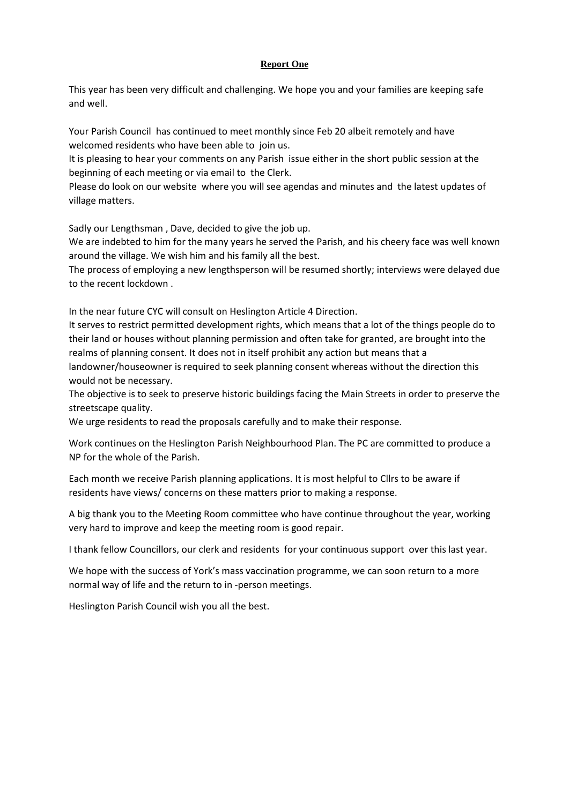# **Report One**

This year has been very difficult and challenging. We hope you and your families are keeping safe and well.

Your Parish Council has continued to meet monthly since Feb 20 albeit remotely and have welcomed residents who have been able to join us.

It is pleasing to hear your comments on any Parish issue either in the short public session at the beginning of each meeting or via email to the Clerk.

Please do look on our website where you will see agendas and minutes and the latest updates of village matters.

Sadly our Lengthsman , Dave, decided to give the job up.

We are indebted to him for the many years he served the Parish, and his cheery face was well known around the village. We wish him and his family all the best.

The process of employing a new lengthsperson will be resumed shortly; interviews were delayed due to the recent lockdown .

In the near future CYC will consult on Heslington Article 4 Direction.

It serves to restrict permitted development rights, which means that a lot of the things people do to their land or houses without planning permission and often take for granted, are brought into the realms of planning consent. It does not in itself prohibit any action but means that a landowner/houseowner is required to seek planning consent whereas without the direction this

would not be necessary.

The objective is to seek to preserve historic buildings facing the Main Streets in order to preserve the streetscape quality.

We urge residents to read the proposals carefully and to make their response.

Work continues on the Heslington Parish Neighbourhood Plan. The PC are committed to produce a NP for the whole of the Parish.

Each month we receive Parish planning applications. It is most helpful to Cllrs to be aware if residents have views/ concerns on these matters prior to making a response.

A big thank you to the Meeting Room committee who have continue throughout the year, working very hard to improve and keep the meeting room is good repair.

I thank fellow Councillors, our clerk and residents for your continuous support over this last year.

We hope with the success of York's mass vaccination programme, we can soon return to a more normal way of life and the return to in -person meetings.

Heslington Parish Council wish you all the best.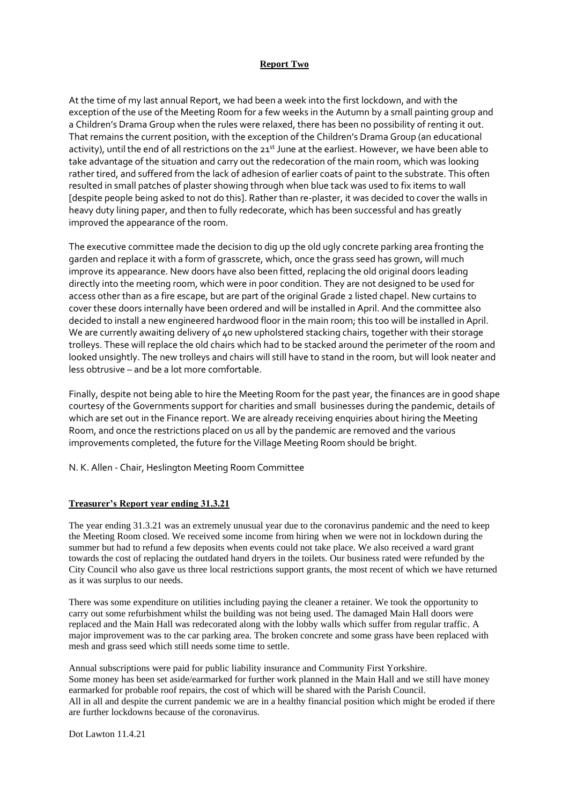# **Report Two**

At the time of my last annual Report, we had been a week into the first lockdown, and with the exception of the use of the Meeting Room for a few weeks in the Autumn by a small painting group and a Children's Drama Group when the rules were relaxed, there has been no possibility of renting it out. That remains the current position, with the exception of the Children's Drama Group (an educational activity), until the end of all restrictions on the 21st June at the earliest. However, we have been able to take advantage of the situation and carry out the redecoration of the main room, which was looking rather tired, and suffered from the lack of adhesion of earlier coats of paint to the substrate. This often resulted in small patches of plaster showing through when blue tack was used to fix items to wall [despite people being asked to not do this]. Rather than re-plaster, it was decided to cover the walls in heavy duty lining paper, and then to fully redecorate, which has been successful and has greatly improved the appearance of the room.

The executive committee made the decision to dig up the old ugly concrete parking area fronting the garden and replace it with a form of grasscrete, which, once the grass seed has grown, will much improve its appearance. New doors have also been fitted, replacing the old original doors leading directly into the meeting room, which were in poor condition. They are not designed to be used for access other than as a fire escape, but are part of the original Grade 2 listed chapel. New curtains to cover these doors internally have been ordered and will be installed in April. And the committee also decided to install a new engineered hardwood floor in the main room; this too will be installed in April. We are currently awaiting delivery of  $\mu$ o new upholstered stacking chairs, together with their storage trolleys. These will replace the old chairs which had to be stacked around the perimeter of the room and looked unsightly. The new trolleys and chairs will still have to stand in the room, but will look neater and less obtrusive – and be a lot more comfortable.

Finally, despite not being able to hire the Meeting Room for the past year, the finances are in good shape courtesy of the Governments support for charities and small businesses during the pandemic, details of which are set out in the Finance report. We are already receiving enquiries about hiring the Meeting Room, and once the restrictions placed on us all by the pandemic are removed and the various improvements completed, the future for the Village Meeting Room should be bright.

N. K. Allen - Chair, Heslington Meeting Room Committee

# **Treasurer's Report year ending 31.3.21**

The year ending 31.3.21 was an extremely unusual year due to the coronavirus pandemic and the need to keep the Meeting Room closed. We received some income from hiring when we were not in lockdown during the summer but had to refund a few deposits when events could not take place. We also received a ward grant towards the cost of replacing the outdated hand dryers in the toilets. Our business rated were refunded by the City Council who also gave us three local restrictions support grants, the most recent of which we have returned as it was surplus to our needs.

There was some expenditure on utilities including paying the cleaner a retainer. We took the opportunity to carry out some refurbishment whilst the building was not being used. The damaged Main Hall doors were replaced and the Main Hall was redecorated along with the lobby walls which suffer from regular traffic. A major improvement was to the car parking area. The broken concrete and some grass have been replaced with mesh and grass seed which still needs some time to settle.

Annual subscriptions were paid for public liability insurance and Community First Yorkshire. Some money has been set aside/earmarked for further work planned in the Main Hall and we still have money earmarked for probable roof repairs, the cost of which will be shared with the Parish Council. All in all and despite the current pandemic we are in a healthy financial position which might be eroded if there are further lockdowns because of the coronavirus.

Dot Lawton 11.4.21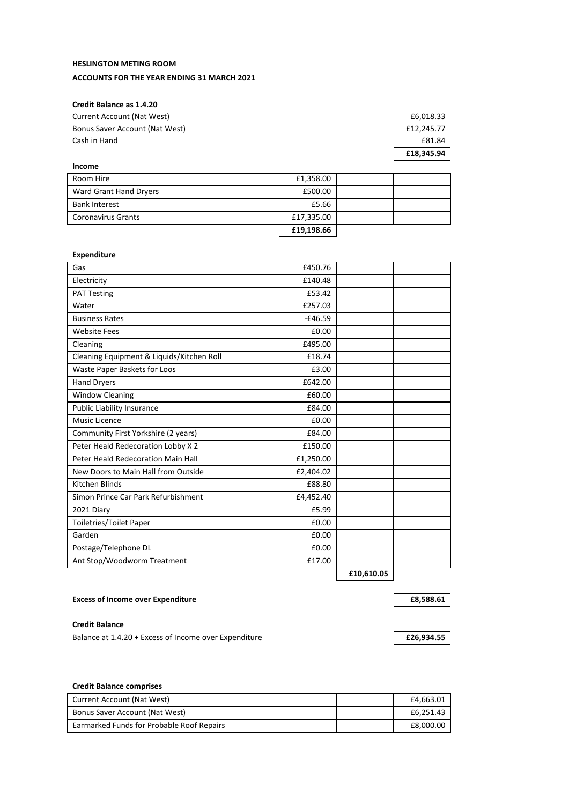# **HESLINGTON METING ROOM**

# **ACCOUNTS FOR THE YEAR ENDING 31 MARCH 2021**

# **Credit Balance as 1.4.20**

|                                | £18,345,94 |
|--------------------------------|------------|
| Cash in Hand                   | £81.84     |
| Bonus Saver Account (Nat West) | £12.245.77 |
| Current Account (Nat West)     | £6,018.33  |

| Income                    |            |  |
|---------------------------|------------|--|
| Room Hire                 | £1,358.00  |  |
| Ward Grant Hand Dryers    | £500.00    |  |
| <b>Bank Interest</b>      | £5.66      |  |
| <b>Coronavirus Grants</b> | £17,335.00 |  |
|                           | £19,198.66 |  |

#### **Expenditure**

| Gas                                       | £450.76   |            |  |
|-------------------------------------------|-----------|------------|--|
| Electricity                               | £140.48   |            |  |
| <b>PAT Testing</b>                        | £53.42    |            |  |
| Water                                     | £257.03   |            |  |
| <b>Business Rates</b>                     | $-£46.59$ |            |  |
| <b>Website Fees</b>                       | £0.00     |            |  |
| Cleaning                                  | £495.00   |            |  |
| Cleaning Equipment & Liquids/Kitchen Roll | £18.74    |            |  |
| Waste Paper Baskets for Loos              | £3.00     |            |  |
| <b>Hand Dryers</b>                        | £642.00   |            |  |
| <b>Window Cleaning</b>                    | £60.00    |            |  |
| Public Liability Insurance                | £84.00    |            |  |
| <b>Music Licence</b>                      | £0.00     |            |  |
| Community First Yorkshire (2 years)       | £84.00    |            |  |
| Peter Heald Redecoration Lobby X 2        | £150.00   |            |  |
| Peter Heald Redecoration Main Hall        | £1,250.00 |            |  |
| New Doors to Main Hall from Outside       | £2,404.02 |            |  |
| Kitchen Blinds                            | £88.80    |            |  |
| Simon Prince Car Park Refurbishment       | £4,452.40 |            |  |
| 2021 Diary                                | £5.99     |            |  |
| <b>Toiletries/Toilet Paper</b>            | £0.00     |            |  |
| Garden                                    | £0.00     |            |  |
| Postage/Telephone DL                      | £0.00     |            |  |
| Ant Stop/Woodworm Treatment               | £17.00    |            |  |
|                                           |           | £10,610.05 |  |
|                                           |           |            |  |

# **Excess of Income over Expenditure Excess of Income over Expenditure E8,588.61**

#### **Credit Balance**

Balance at 1.4.20 + Excess of Income over Expenditure **Example 3 and Excess 3 and E26,934.55** 

## **Credit Balance comprises**

| Current Account (Nat West)                | £4.663.01 |
|-------------------------------------------|-----------|
| Bonus Saver Account (Nat West)            | £6.251.43 |
| Earmarked Funds for Probable Roof Repairs | £8,000.00 |